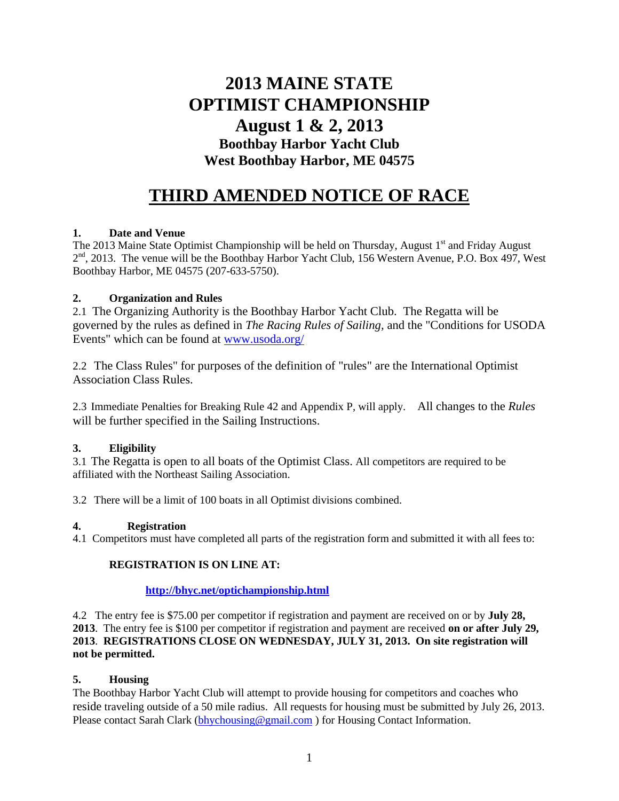# **2013 MAINE STATE OPTIMIST CHAMPIONSHIP August 1 & 2, 2013 Boothbay Harbor Yacht Club West Boothbay Harbor, ME 04575**

# **THIRD AMENDED NOTICE OF RACE**

# **1. Date and Venue**

The 2013 Maine State Optimist Championship will be held on Thursday, August 1<sup>st</sup> and Friday August 2<sup>nd</sup>, 2013. The venue will be the Boothbay Harbor Yacht Club, 156 Western Avenue, P.O. Box 497, West Boothbay Harbor, ME 04575 (207-633-5750).

# **2. Organization and Rules**

2.1 The Organizing Authority is the Boothbay Harbor Yacht Club. The Regatta will be governed by the rules as defined in *The Racing Rules of Sailing,* and the "Conditions for USODA Events" which can be found at [www.usoda.org/](http://www.usoda.org/)

2.2 The Class Rules" for purposes of the definition of "rules" are the International Optimist Association Class Rules.

2.3 Immediate Penalties for Breaking Rule 42 and Appendix P, will apply. All changes to the *Rules* will be further specified in the Sailing Instructions.

# **3. Eligibility**

3.1 The Regatta is open to all boats of the Optimist Class. All competitors are required to be affiliated with the Northeast Sailing Association.

3.2 There will be a limit of 100 boats in all Optimist divisions combined.

# **4. Registration**

4.1 Competitors must have completed all parts of the registration form and submitted it with all fees to:

# **REGISTRATION IS ON LINE AT:**

# **<http://bhyc.net/optichampionship.html>**

4.2 The entry fee is \$75.00 per competitor if registration and payment are received on or by **July 28, 2013**. The entry fee is \$100 per competitor if registration and payment are received **on or after July 29, 2013**. **REGISTRATIONS CLOSE ON WEDNESDAY, JULY 31, 2013. On site registration will not be permitted.**

# **5. Housing**

The Boothbay Harbor Yacht Club will attempt to provide housing for competitors and coaches who reside traveling outside of a 50 mile radius. All requests for housing must be submitted by July 26, 2013. Please contact Sarah Clark [\(bhychousing@gmail.com](mailto:bhychousing@gmail.com) ) for Housing Contact Information.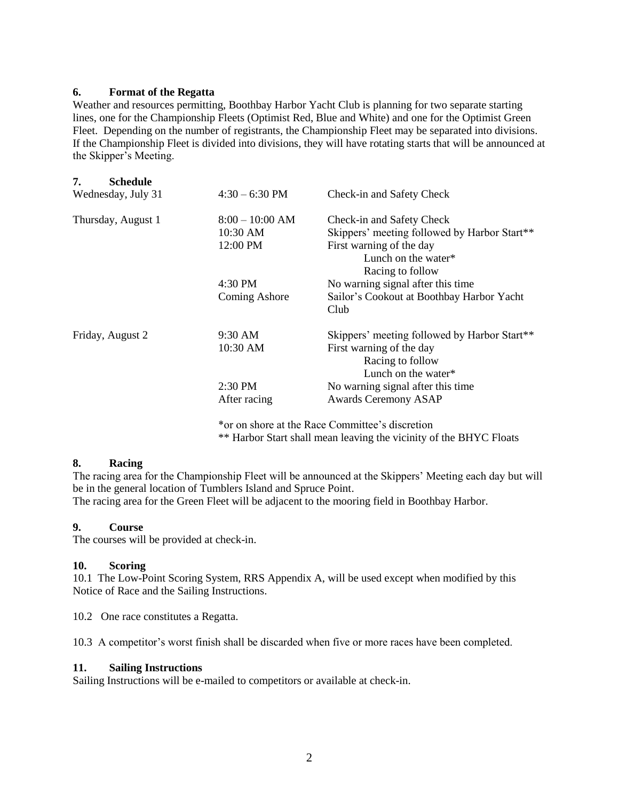### **6. Format of the Regatta**

Weather and resources permitting, Boothbay Harbor Yacht Club is planning for two separate starting lines, one for the Championship Fleets (Optimist Red, Blue and White) and one for the Optimist Green Fleet. Depending on the number of registrants, the Championship Fleet may be separated into divisions. If the Championship Fleet is divided into divisions, they will have rotating starts that will be announced at the Skipper's Meeting.

| 7.<br><b>Schedule</b><br>Wednesday, July 31 | $4:30 - 6:30$ PM | Check-in and Safety Check                         |
|---------------------------------------------|------------------|---------------------------------------------------|
| Thursday, August 1                          | $8:00-10:00$ AM  | Check-in and Safety Check                         |
|                                             | 10:30 AM         | Skippers' meeting followed by Harbor Start**      |
|                                             | 12:00 PM         | First warning of the day                          |
|                                             |                  | Lunch on the water*                               |
|                                             |                  | Racing to follow                                  |
|                                             | 4:30 PM          | No warning signal after this time                 |
|                                             | Coming Ashore    | Sailor's Cookout at Boothbay Harbor Yacht<br>Club |
| Friday, August 2                            | $9:30$ AM        | Skippers' meeting followed by Harbor Start**      |
|                                             | 10:30 AM         | First warning of the day                          |
|                                             |                  | Racing to follow                                  |
|                                             |                  | Lunch on the water*                               |
|                                             | $2:30$ PM        | No warning signal after this time                 |
|                                             | After racing     | <b>Awards Ceremony ASAP</b>                       |

\*or on shore at the Race Committee's discretion \*\* Harbor Start shall mean leaving the vicinity of the BHYC Floats

## **8. Racing**

The racing area for the Championship Fleet will be announced at the Skippers' Meeting each day but will be in the general location of Tumblers Island and Spruce Point. The racing area for the Green Fleet will be adjacent to the mooring field in Boothbay Harbor.

## **9. Course**

The courses will be provided at check-in.

#### **10. Scoring**

10.1 The Low-Point Scoring System, RRS Appendix A, will be used except when modified by this Notice of Race and the Sailing Instructions.

10.2 One race constitutes a Regatta.

10.3 A competitor's worst finish shall be discarded when five or more races have been completed.

#### **11. Sailing Instructions**

Sailing Instructions will be e-mailed to competitors or available at check-in.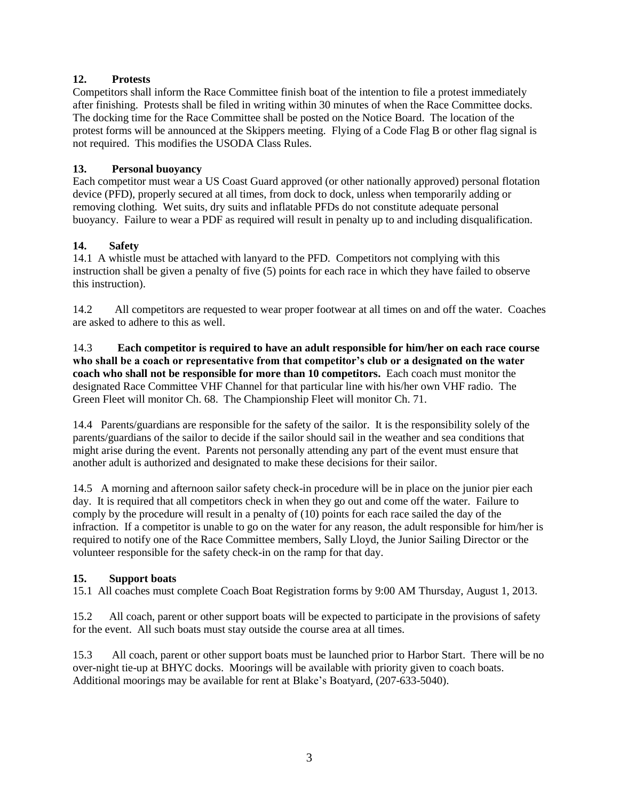# **12. Protests**

Competitors shall inform the Race Committee finish boat of the intention to file a protest immediately after finishing. Protests shall be filed in writing within 30 minutes of when the Race Committee docks. The docking time for the Race Committee shall be posted on the Notice Board. The location of the protest forms will be announced at the Skippers meeting. Flying of a Code Flag B or other flag signal is not required. This modifies the USODA Class Rules.

# **13. Personal buoyancy**

Each competitor must wear a US Coast Guard approved (or other nationally approved) personal flotation device (PFD), properly secured at all times, from dock to dock, unless when temporarily adding or removing clothing. Wet suits, dry suits and inflatable PFDs do not constitute adequate personal buoyancy. Failure to wear a PDF as required will result in penalty up to and including disqualification.

# **14. Safety**

14.1 A whistle must be attached with lanyard to the PFD. Competitors not complying with this instruction shall be given a penalty of five (5) points for each race in which they have failed to observe this instruction).

14.2 All competitors are requested to wear proper footwear at all times on and off the water. Coaches are asked to adhere to this as well.

14.3 **Each competitor is required to have an adult responsible for him/her on each race course who shall be a coach or representative from that competitor's club or a designated on the water coach who shall not be responsible for more than 10 competitors.** Each coach must monitor the designated Race Committee VHF Channel for that particular line with his/her own VHF radio. The Green Fleet will monitor Ch. 68. The Championship Fleet will monitor Ch. 71.

14.4 Parents/guardians are responsible for the safety of the sailor. It is the responsibility solely of the parents/guardians of the sailor to decide if the sailor should sail in the weather and sea conditions that might arise during the event. Parents not personally attending any part of the event must ensure that another adult is authorized and designated to make these decisions for their sailor.

14.5 A morning and afternoon sailor safety check-in procedure will be in place on the junior pier each day. It is required that all competitors check in when they go out and come off the water. Failure to comply by the procedure will result in a penalty of (10) points for each race sailed the day of the infraction. If a competitor is unable to go on the water for any reason, the adult responsible for him/her is required to notify one of the Race Committee members, Sally Lloyd, the Junior Sailing Director or the volunteer responsible for the safety check-in on the ramp for that day.

# **15. Support boats**

15.1 All coaches must complete Coach Boat Registration forms by 9:00 AM Thursday, August 1, 2013.

15.2 All coach, parent or other support boats will be expected to participate in the provisions of safety for the event. All such boats must stay outside the course area at all times.

15.3 All coach, parent or other support boats must be launched prior to Harbor Start. There will be no over-night tie-up at BHYC docks. Moorings will be available with priority given to coach boats. Additional moorings may be available for rent at Blake's Boatyard, (207-633-5040).